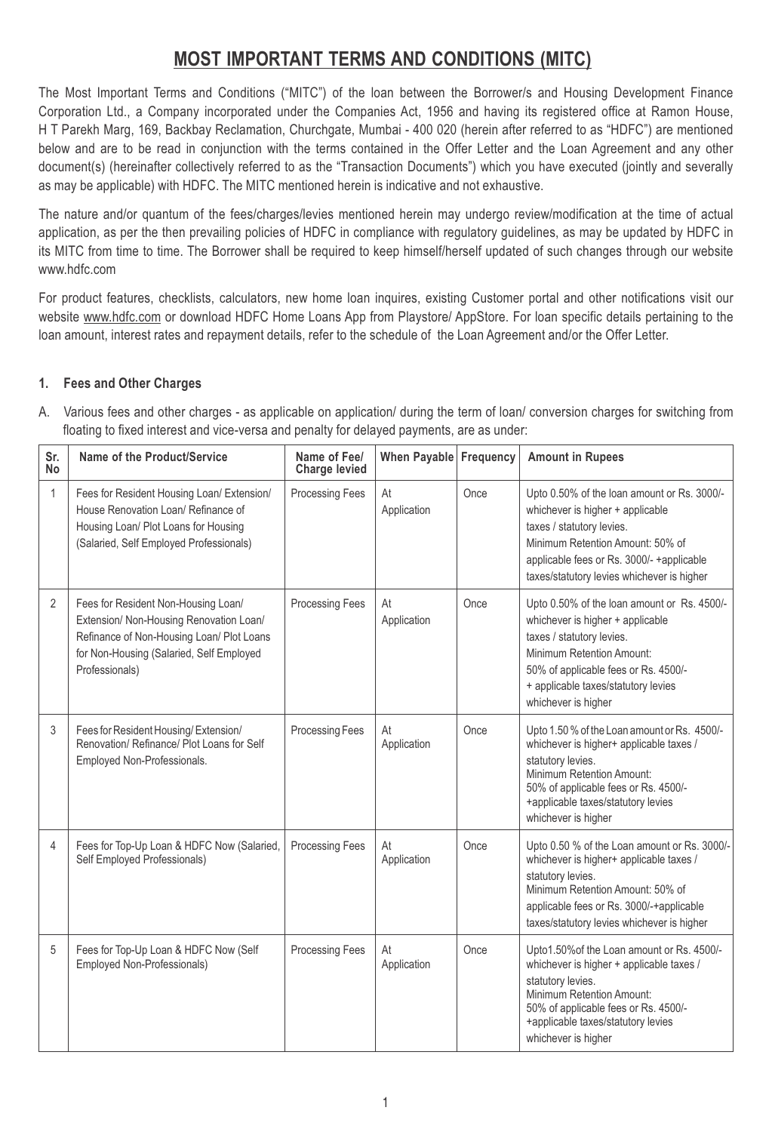# **MOST IMPORTANT TERMS AND CONDITIONS (MITC)**

The Most Important Terms and Conditions ("MITC") of the loan between the Borrower/s and Housing Development Finance Corporation Ltd., a Company incorporated under the Companies Act, 1956 and having its registered office at Ramon House, H T Parekh Marg, 169, Backbay Reclamation, Churchgate, Mumbai - 400 020 (herein after referred to as "HDFC") are mentioned below and are to be read in conjunction with the terms contained in the Offer Letter and the Loan Agreement and any other document(s) (hereinafter collectively referred to as the "Transaction Documents") which you have executed (jointly and severally as may be applicable) with HDFC. The MITC mentioned herein is indicative and not exhaustive.

The nature and/or quantum of the fees/charges/levies mentioned herein may undergo review/modification at the time of actual application, as per the then prevailing policies of HDFC in compliance with regulatory guidelines, as may be updated by HDFC in its MITC from time to time. The Borrower shall be required to keep himself/herself updated of such changes through our website www.hdfc.com

For product features, checklists, calculators, new home loan inquires, existing Customer portal and other notifications visit our website www.hdfc.com or download HDFC Home Loans App from Playstore/ AppStore. For loan specific details pertaining to the loan amount, interest rates and repayment details, refer to the schedule of the Loan Agreement and/or the Offer Letter.

## **1. Fees and Other Charges**

A. Various fees and other charges - as applicable on application/ during the term of loan/ conversion charges for switching from floating to fixed interest and vice-versa and penalty for delayed payments, are as under:

| Sr.<br>No      | Name of the Product/Service                                                                                                                                                               | Name of Fee/<br><b>Charge levied</b> | When Payable Frequency |      | <b>Amount in Rupees</b>                                                                                                                                                                                                                         |
|----------------|-------------------------------------------------------------------------------------------------------------------------------------------------------------------------------------------|--------------------------------------|------------------------|------|-------------------------------------------------------------------------------------------------------------------------------------------------------------------------------------------------------------------------------------------------|
| 1              | Fees for Resident Housing Loan/ Extension/<br>House Renovation Loan/ Refinance of<br>Housing Loan/ Plot Loans for Housing<br>(Salaried, Self Employed Professionals)                      | <b>Processing Fees</b>               | At<br>Application      | Once | Upto 0.50% of the loan amount or Rs. 3000/-<br>whichever is higher + applicable<br>taxes / statutory levies.<br>Minimum Retention Amount: 50% of<br>applicable fees or Rs. 3000/- +applicable<br>taxes/statutory levies whichever is higher     |
| $\overline{2}$ | Fees for Resident Non-Housing Loan/<br>Extension/ Non-Housing Renovation Loan/<br>Refinance of Non-Housing Loan/ Plot Loans<br>for Non-Housing (Salaried, Self Employed<br>Professionals) | <b>Processing Fees</b>               | At<br>Application      | Once | Upto 0.50% of the loan amount or Rs. 4500/-<br>whichever is higher + applicable<br>taxes / statutory levies.<br>Minimum Retention Amount:<br>50% of applicable fees or Rs. 4500/-<br>+ applicable taxes/statutory levies<br>whichever is higher |
| 3              | Fees for Resident Housing/Extension/<br>Renovation/ Refinance/ Plot Loans for Self<br>Employed Non-Professionals.                                                                         | <b>Processing Fees</b>               | At<br>Application      | Once | Upto 1.50 % of the Loan amount or Rs. 4500/-<br>whichever is higher+ applicable taxes /<br>statutory levies.<br>Minimum Retention Amount:<br>50% of applicable fees or Rs. 4500/-<br>+applicable taxes/statutory levies<br>whichever is higher  |
| $\overline{4}$ | Fees for Top-Up Loan & HDFC Now (Salaried,<br>Self Employed Professionals)                                                                                                                | <b>Processing Fees</b>               | At<br>Application      | Once | Upto 0.50 % of the Loan amount or Rs. 3000/-<br>whichever is higher+ applicable taxes /<br>statutory levies.<br>Minimum Retention Amount: 50% of<br>applicable fees or Rs. 3000/-+applicable<br>taxes/statutory levies whichever is higher      |
| 5              | Fees for Top-Up Loan & HDFC Now (Self<br>Employed Non-Professionals)                                                                                                                      | <b>Processing Fees</b>               | At<br>Application      | Once | Upto1.50% of the Loan amount or Rs. 4500/-<br>whichever is higher + applicable taxes /<br>statutory levies.<br>Minimum Retention Amount:<br>50% of applicable fees or Rs. 4500/-<br>+applicable taxes/statutory levies<br>whichever is higher   |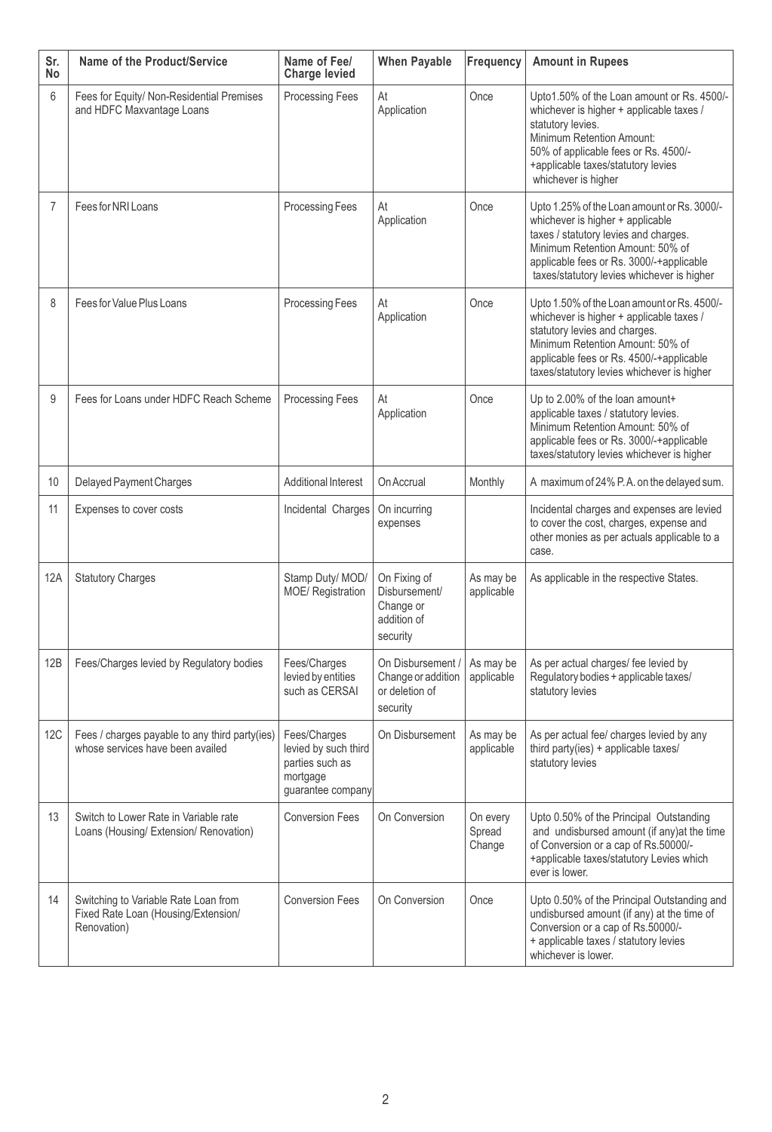| Sr.<br>No  | Name of the Product/Service                                                                | Name of Fee/<br><b>Charge levied</b>                                                     | <b>When Payable</b>                                                   | <b>Frequency</b>             | <b>Amount in Rupees</b>                                                                                                                                                                                                                                |
|------------|--------------------------------------------------------------------------------------------|------------------------------------------------------------------------------------------|-----------------------------------------------------------------------|------------------------------|--------------------------------------------------------------------------------------------------------------------------------------------------------------------------------------------------------------------------------------------------------|
| 6          | Fees for Equity/ Non-Residential Premises<br>and HDFC Maxvantage Loans                     | Processing Fees                                                                          | At<br>Application                                                     | Once                         | Upto1.50% of the Loan amount or Rs. 4500/-<br>whichever is higher + applicable taxes /<br>statutory levies.<br>Minimum Retention Amount:<br>50% of applicable fees or Rs. 4500/-<br>+applicable taxes/statutory levies<br>whichever is higher          |
| 7          | Fees for NRI Loans                                                                         | Processing Fees                                                                          | At<br>Application                                                     | Once                         | Upto 1.25% of the Loan amount or Rs. 3000/-<br>whichever is higher + applicable<br>taxes / statutory levies and charges.<br>Minimum Retention Amount: 50% of<br>applicable fees or Rs. 3000/-+applicable<br>taxes/statutory levies whichever is higher |
| 8          | Fees for Value Plus Loans                                                                  | Processing Fees                                                                          | At<br>Application                                                     | Once                         | Upto 1.50% of the Loan amount or Rs. 4500/-<br>whichever is higher + applicable taxes /<br>statutory levies and charges.<br>Minimum Retention Amount: 50% of<br>applicable fees or Rs. 4500/-+applicable<br>taxes/statutory levies whichever is higher |
| 9          | Fees for Loans under HDFC Reach Scheme                                                     | Processing Fees                                                                          | At<br>Application                                                     | Once                         | Up to 2.00% of the loan amount+<br>applicable taxes / statutory levies.<br>Minimum Retention Amount: 50% of<br>applicable fees or Rs. 3000/-+applicable<br>taxes/statutory levies whichever is higher                                                  |
| 10         | Delayed Payment Charges                                                                    | Additional Interest                                                                      | On Accrual                                                            | Monthly                      | A maximum of 24% P.A. on the delayed sum.                                                                                                                                                                                                              |
| 11         | Expenses to cover costs                                                                    | Incidental Charges                                                                       | On incurring<br>expenses                                              |                              | Incidental charges and expenses are levied<br>to cover the cost, charges, expense and<br>other monies as per actuals applicable to a<br>case.                                                                                                          |
| 12A        | <b>Statutory Charges</b>                                                                   | Stamp Duty/ MOD/<br>MOE/ Registration                                                    | On Fixing of<br>Disbursement/<br>Change or<br>addition of<br>security | As may be<br>applicable      | As applicable in the respective States.                                                                                                                                                                                                                |
| 12B        | Fees/Charges levied by Regulatory bodies                                                   | Fees/Charges<br>levied by entities<br>such as CERSAI                                     | On Disbursement /<br>Change or addition<br>or deletion of<br>security | As may be<br>applicable      | As per actual charges/ fee levied by<br>Regulatory bodies + applicable taxes/<br>statutory levies                                                                                                                                                      |
| <b>12C</b> | Fees / charges payable to any third party(ies)<br>whose services have been availed         | Fees/Charges<br>levied by such third<br>parties such as<br>mortgage<br>guarantee company | On Disbursement                                                       | As may be<br>applicable      | As per actual fee/ charges levied by any<br>third party(ies) + applicable taxes/<br>statutory levies                                                                                                                                                   |
| 13         | Switch to Lower Rate in Variable rate<br>Loans (Housing/ Extension/ Renovation)            | <b>Conversion Fees</b>                                                                   | On Conversion                                                         | On every<br>Spread<br>Change | Upto 0.50% of the Principal Outstanding<br>and undisbursed amount (if any) at the time<br>of Conversion or a cap of Rs.50000/-<br>+applicable taxes/statutory Levies which<br>ever is lower.                                                           |
| 14         | Switching to Variable Rate Loan from<br>Fixed Rate Loan (Housing/Extension/<br>Renovation) | <b>Conversion Fees</b>                                                                   | On Conversion                                                         | Once                         | Upto 0.50% of the Principal Outstanding and<br>undisbursed amount (if any) at the time of<br>Conversion or a cap of Rs.50000/-<br>+ applicable taxes / statutory levies<br>whichever is lower.                                                         |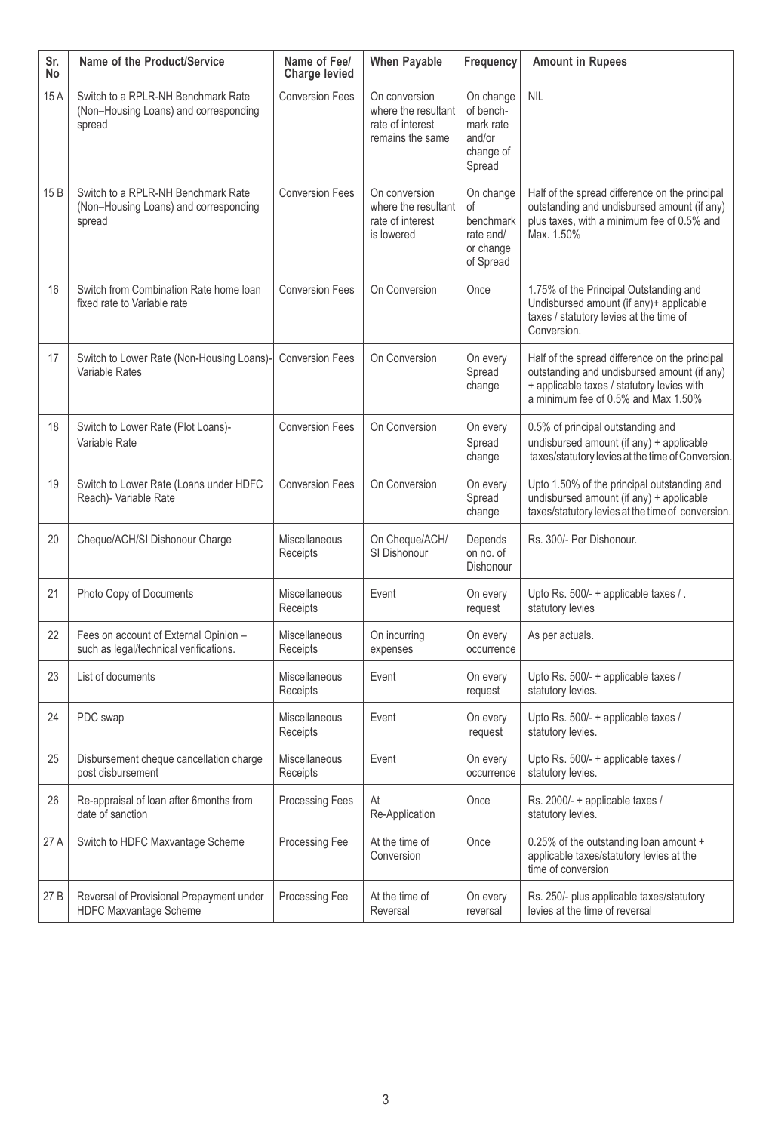| Sr.<br>No | Name of the Product/Service                                                           | Name of Fee/<br><b>Charge levied</b> | <b>When Payable</b>                                                          | <b>Frequency</b>                                                     | <b>Amount in Rupees</b>                                                                                                                                                            |
|-----------|---------------------------------------------------------------------------------------|--------------------------------------|------------------------------------------------------------------------------|----------------------------------------------------------------------|------------------------------------------------------------------------------------------------------------------------------------------------------------------------------------|
| 15A       | Switch to a RPLR-NH Benchmark Rate<br>(Non-Housing Loans) and corresponding<br>spread | <b>Conversion Fees</b>               | On conversion<br>where the resultant<br>rate of interest<br>remains the same | On change<br>of bench-<br>mark rate<br>and/or<br>change of<br>Spread | <b>NIL</b>                                                                                                                                                                         |
| 15 B      | Switch to a RPLR-NH Benchmark Rate<br>(Non-Housing Loans) and corresponding<br>spread | <b>Conversion Fees</b>               | On conversion<br>where the resultant<br>rate of interest<br>is lowered       | On change<br>οf<br>benchmark<br>rate and/<br>or change<br>of Spread  | Half of the spread difference on the principal<br>outstanding and undisbursed amount (if any)<br>plus taxes, with a minimum fee of 0.5% and<br>Max. 1.50%                          |
| 16        | Switch from Combination Rate home loan<br>fixed rate to Variable rate                 | <b>Conversion Fees</b>               | On Conversion                                                                | Once                                                                 | 1.75% of the Principal Outstanding and<br>Undisbursed amount (if any)+ applicable<br>taxes / statutory levies at the time of<br>Conversion.                                        |
| 17        | Switch to Lower Rate (Non-Housing Loans)-<br>Variable Rates                           | <b>Conversion Fees</b>               | On Conversion                                                                | On every<br>Spread<br>change                                         | Half of the spread difference on the principal<br>outstanding and undisbursed amount (if any)<br>+ applicable taxes / statutory levies with<br>a minimum fee of 0.5% and Max 1.50% |
| 18        | Switch to Lower Rate (Plot Loans)-<br>Variable Rate                                   | <b>Conversion Fees</b>               | On Conversion                                                                | On every<br>Spread<br>change                                         | 0.5% of principal outstanding and<br>undisbursed amount (if any) + applicable<br>taxes/statutory levies at the time of Conversion.                                                 |
| 19        | Switch to Lower Rate (Loans under HDFC<br>Reach)- Variable Rate                       | <b>Conversion Fees</b>               | On Conversion                                                                | On every<br>Spread<br>change                                         | Upto 1.50% of the principal outstanding and<br>undisbursed amount (if any) + applicable<br>taxes/statutory levies at the time of conversion.                                       |
| 20        | Cheque/ACH/SI Dishonour Charge                                                        | Miscellaneous<br>Receipts            | On Cheque/ACH/<br>SI Dishonour                                               | Depends<br>on no. of<br>Dishonour                                    | Rs. 300/- Per Dishonour.                                                                                                                                                           |
| 21        | Photo Copy of Documents                                                               | Miscellaneous<br>Receipts            | Event                                                                        | On every<br>request                                                  | Upto Rs. 500/- + applicable taxes / .<br>statutory levies                                                                                                                          |
| 22        | Fees on account of External Opinion -<br>such as legal/technical verifications.       | Miscellaneous<br>Receipts            | On incurring<br>expenses                                                     | On every<br>occurrence                                               | As per actuals.                                                                                                                                                                    |
| 23        | List of documents                                                                     | Miscellaneous<br>Receipts            | Event                                                                        | On every<br>request                                                  | Upto Rs. 500/- + applicable taxes /<br>statutory levies.                                                                                                                           |
| 24        | PDC swap                                                                              | Miscellaneous<br>Receipts            | Event                                                                        | On every<br>request                                                  | Upto Rs. 500/- + applicable taxes /<br>statutory levies.                                                                                                                           |
| 25        | Disbursement cheque cancellation charge<br>post disbursement                          | Miscellaneous<br>Receipts            | Event                                                                        | On every<br>occurrence                                               | Upto Rs. 500/- + applicable taxes /<br>statutory levies.                                                                                                                           |
| 26        | Re-appraisal of loan after 6months from<br>date of sanction                           | <b>Processing Fees</b>               | At<br>Re-Application                                                         | Once                                                                 | Rs. 2000/- + applicable taxes /<br>statutory levies.                                                                                                                               |
| 27 A      | Switch to HDFC Maxvantage Scheme                                                      | Processing Fee                       | At the time of<br>Conversion                                                 | Once                                                                 | 0.25% of the outstanding loan amount +<br>applicable taxes/statutory levies at the<br>time of conversion                                                                           |
| 27 B      | Reversal of Provisional Prepayment under<br>HDFC Maxvantage Scheme                    | <b>Processing Fee</b>                | At the time of<br>Reversal                                                   | On every<br>reversal                                                 | Rs. 250/- plus applicable taxes/statutory<br>levies at the time of reversal                                                                                                        |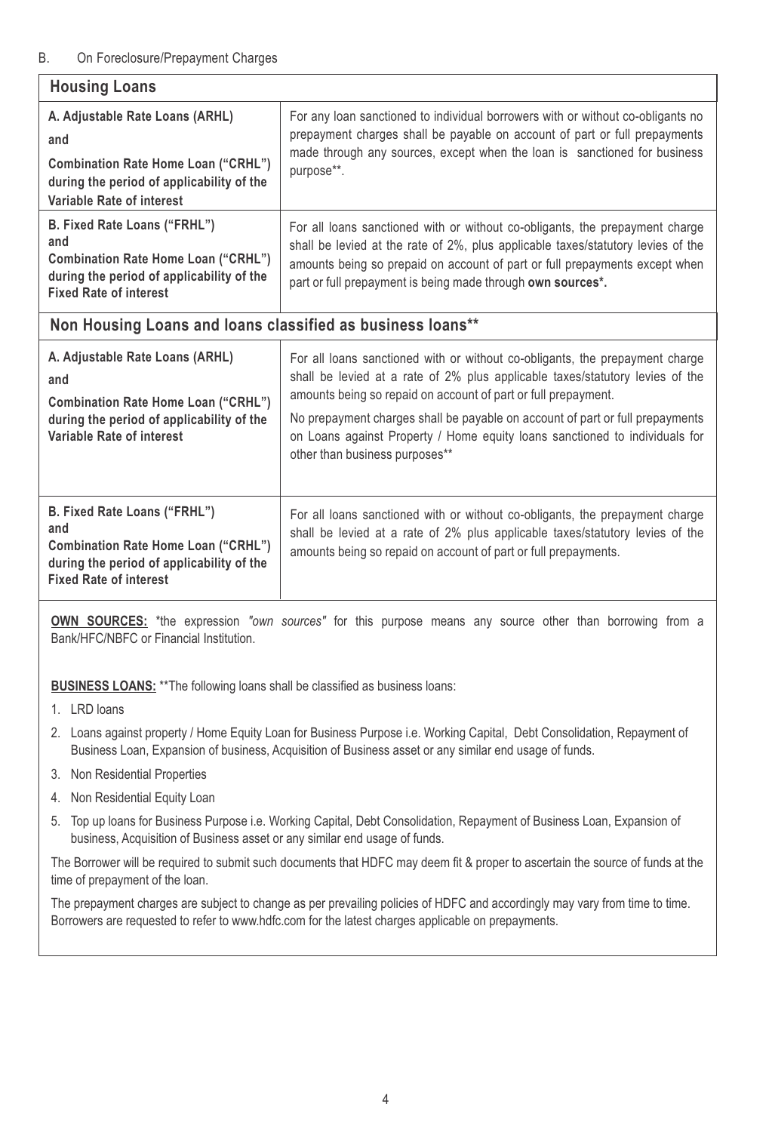## B. On Foreclosure/Prepayment Charges

| <b>Housing Loans</b>                                                                                                                                                  |                                                                                                                                                                                                                                                                                                                                                                                                                                   |  |  |  |
|-----------------------------------------------------------------------------------------------------------------------------------------------------------------------|-----------------------------------------------------------------------------------------------------------------------------------------------------------------------------------------------------------------------------------------------------------------------------------------------------------------------------------------------------------------------------------------------------------------------------------|--|--|--|
| A. Adjustable Rate Loans (ARHL)<br>and<br><b>Combination Rate Home Loan ("CRHL")</b><br>during the period of applicability of the<br>Variable Rate of interest        | For any loan sanctioned to individual borrowers with or without co-obligants no<br>prepayment charges shall be payable on account of part or full prepayments<br>made through any sources, except when the loan is sanctioned for business<br>purpose**.                                                                                                                                                                          |  |  |  |
| B. Fixed Rate Loans ("FRHL")<br>and<br><b>Combination Rate Home Loan ("CRHL")</b><br>during the period of applicability of the<br><b>Fixed Rate of interest</b>       | For all loans sanctioned with or without co-obligants, the prepayment charge<br>shall be levied at the rate of 2%, plus applicable taxes/statutory levies of the<br>amounts being so prepaid on account of part or full prepayments except when<br>part or full prepayment is being made through own sources*.                                                                                                                    |  |  |  |
| Non Housing Loans and loans classified as business loans**                                                                                                            |                                                                                                                                                                                                                                                                                                                                                                                                                                   |  |  |  |
| A. Adjustable Rate Loans (ARHL)<br>and<br><b>Combination Rate Home Loan ("CRHL")</b><br>during the period of applicability of the<br><b>Variable Rate of interest</b> | For all loans sanctioned with or without co-obligants, the prepayment charge<br>shall be levied at a rate of 2% plus applicable taxes/statutory levies of the<br>amounts being so repaid on account of part or full prepayment.<br>No prepayment charges shall be payable on account of part or full prepayments<br>on Loans against Property / Home equity loans sanctioned to individuals for<br>other than business purposes** |  |  |  |
| B. Fixed Rate Loans ("FRHL")<br>and<br><b>Combination Rate Home Loan ("CRHL")</b><br>during the period of applicability of the<br><b>Fixed Rate of interest</b>       | For all loans sanctioned with or without co-obligants, the prepayment charge<br>shall be levied at a rate of 2% plus applicable taxes/statutory levies of the<br>amounts being so repaid on account of part or full prepayments.                                                                                                                                                                                                  |  |  |  |

**OWN SOURCES:** \*the expression *"own sources"* for this purpose means any source other than borrowing from a Bank/HFC/NBFC or Financial Institution.

**BUSINESS LOANS:** \*\* The following loans shall be classified as business loans:

- 2. Loans against property / Home Equity Loan for Business Purpose i.e. Working Capital, Debt Consolidation, Repayment of Business Loan, Expansion of business, Acquisition of Business asset or any similar end usage of funds.
- 3. Non Residential Properties
- 4. Non Residential Equity Loan
- 5. Top up loans for Business Purpose i.e. Working Capital, Debt Consolidation, Repayment of Business Loan, Expansion of business, Acquisition of Business asset or any similar end usage of funds.

The Borrower will be required to submit such documents that HDFC may deem fit & proper to ascertain the source of funds at the time of prepayment of the loan.

The prepayment charges are subject to change as per prevailing policies of HDFC and accordingly may vary from time to time. Borrowers are requested to refer to www.hdfc.com for the latest charges applicable on prepayments.

<sup>1.</sup> LRD loans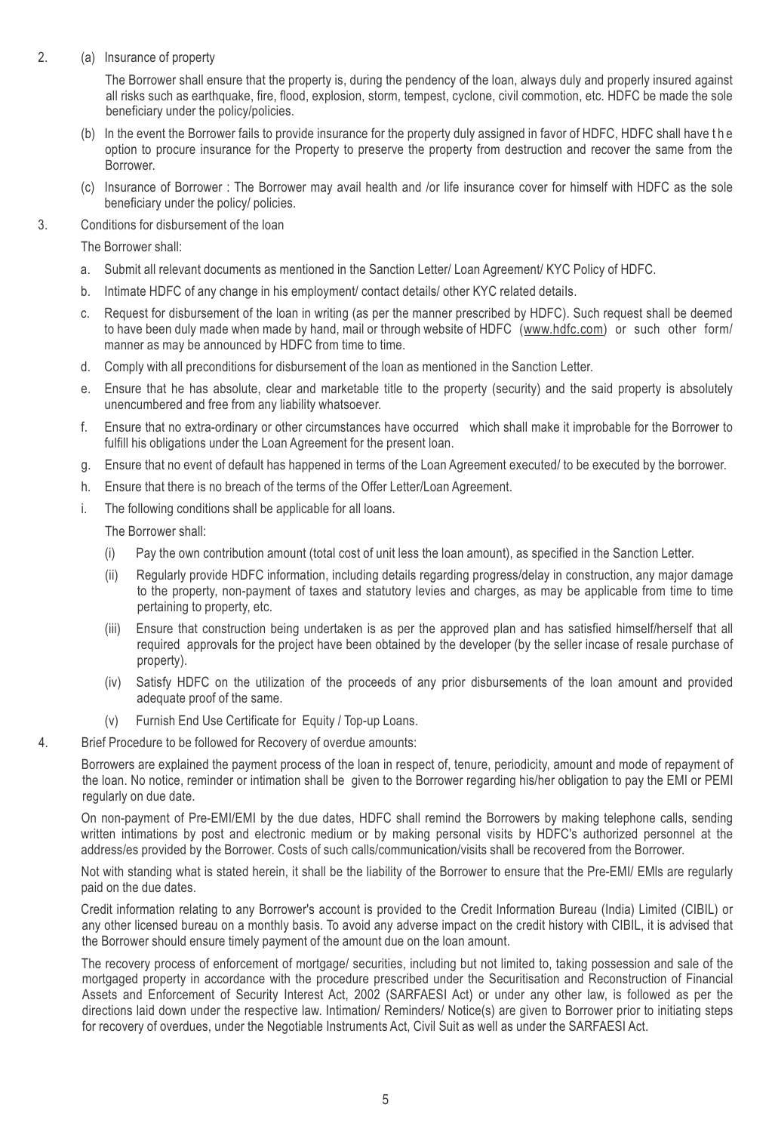2. (a) Insurance of property

The Borrower shall ensure that the property is, during the pendency of the loan, always duly and properly insured against all risks such as earthquake, fire, flood, explosion, storm, tempest, cyclone, civil commotion, etc. HDFC be made the sole beneficiary under the policy/policies.

- (b) In the event the Borrower fails to provide insurance for the property duly assigned in favor of HDFC, HDFC shall have t h e option to procure insurance for the Property to preserve the property from destruction and recover the same from the Borrower.
- (c) Insurance of Borrower : The Borrower may avail health and /or life insurance cover for himself with HDFC as the sole beneficiary under the policy/ policies.
- 3. Conditions for disbursement of the loan

The Borrower shall:

- a. Submit all relevant documents as mentioned in the Sanction Letter/ Loan Agreement/ KYC Policy of HDFC.
- b. Intimate HDFC of any change in his employment/ contact details/ other KYC related details.
- c. Request for disbursement of the loan in writing (as per the manner prescribed by HDFC). Such request shall be deemed to have been duly made when made by hand, mail or through website of HDFC (www.hdfc.com) or such other form/ manner as may be announced by HDFC from time to time.
- d. Comply with all preconditions for disbursement of the loan as mentioned in the Sanction Letter.
- e. Ensure that he has absolute, clear and marketable title to the property (security) and the said property is absolutely unencumbered and free from any liability whatsoever.
- f. Ensure that no extra-ordinary or other circumstances have occurred which shall make it improbable for the Borrower to fulfill his obligations under the Loan Agreement for the present loan.
- g. Ensure that no event of default has happened in terms of the Loan Agreement executed/ to be executed by the borrower.
- h. Ensure that there is no breach of the terms of the Offer Letter/Loan Agreement.
- i. The following conditions shall be applicable for all loans.

The Borrower shall:

- (i) Pay the own contribution amount (total cost of unit less the loan amount), as specified in the Sanction Letter.
- (ii) Regularly provide HDFC information, including details regarding progress/delay in construction, any major damage to the property, non-payment of taxes and statutory levies and charges, as may be applicable from time to time pertaining to property, etc.
- (iii) Ensure that construction being undertaken is as per the approved plan and has satisfied himself/herself that all required approvals for the project have been obtained by the developer (by the seller incase of resale purchase of property).
- (iv) Satisfy HDFC on the utilization of the proceeds of any prior disbursements of the loan amount and provided adequate proof of the same.
- (v) Furnish End Use Certificate for Equity / Top-up Loans.
- 4. Brief Procedure to be followed for Recovery of overdue amounts:

Borrowers are explained the payment process of the loan in respect of, tenure, periodicity, amount and mode of repayment of the loan. No notice, reminder or intimation shall be given to the Borrower regarding his/her obligation to pay the EMI or PEMI regularly on due date.

On non-payment of Pre-EMI/EMI by the due dates, HDFC shall remind the Borrowers by making telephone calls, sending written intimations by post and electronic medium or by making personal visits by HDFC's authorized personnel at the address/es provided by the Borrower. Costs of such calls/communication/visits shall be recovered from the Borrower.

Not with standing what is stated herein, it shall be the liability of the Borrower to ensure that the Pre-EMI/ EMls are regularly paid on the due dates.

Credit information relating to any Borrower's account is provided to the Credit Information Bureau (India) Limited (CIBIL) or any other licensed bureau on a monthly basis. To avoid any adverse impact on the credit history with CIBIL, it is advised that the Borrower should ensure timely payment of the amount due on the loan amount.

The recovery process of enforcement of mortgage/ securities, including but not limited to, taking possession and sale of the mortgaged property in accordance with the procedure prescribed under the Securitisation and Reconstruction of Financial Assets and Enforcement of Security Interest Act, 2002 (SARFAESI Act) or under any other law, is followed as per the directions laid down under the respective law. Intimation/ Reminders/ Notice(s) are given to Borrower prior to initiating steps for recovery of overdues, under the Negotiable Instruments Act, Civil Suit as well as under the SARFAESI Act.